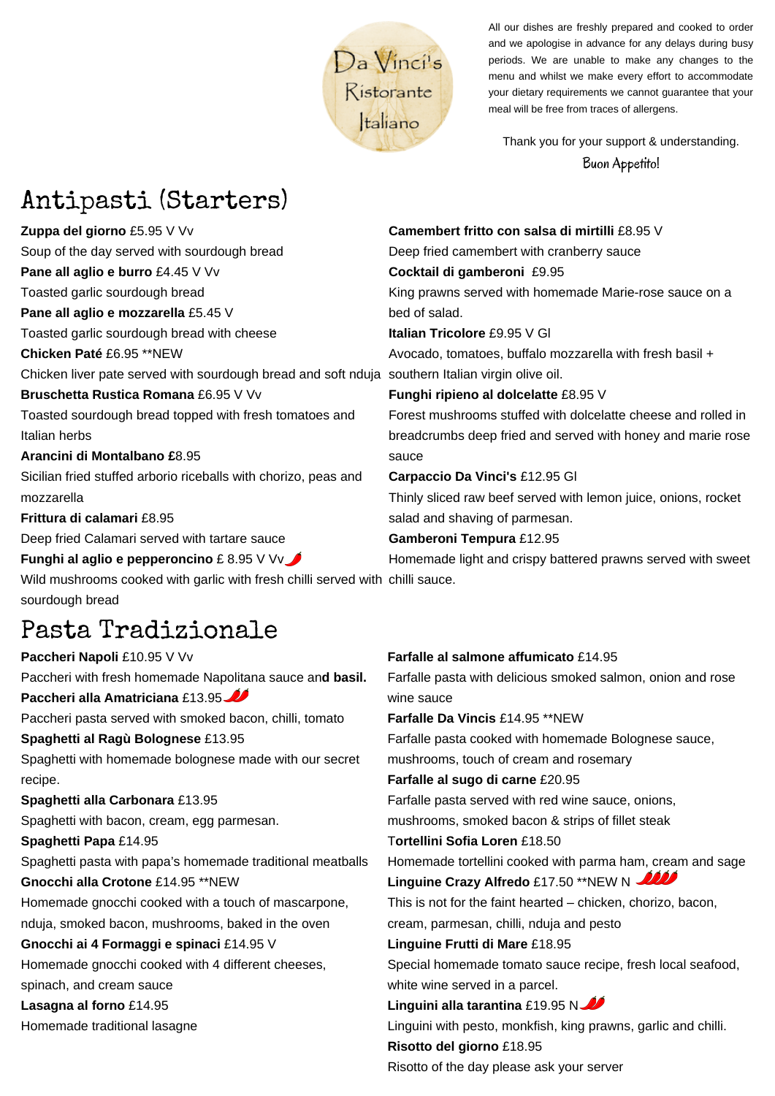

All our dishes are freshly prepared and cooked to order and we apologise in advance for any delays during busy periods. We are unable to make any changes to the menu and whilst we make every effort to accommodate your dietary requirements we cannot guarantee that your meal will be free from traces of allergens.

Thank you for your support & understanding.

Buon Appetito!

# Antipasti (Starters)

**Zuppa del giorno** £5.95 V Vv Soup of the day served with sourdough bread **Pane all aglio e burro** £4.45 V Vv Toasted garlic sourdough bread **Pane all aglio e mozzarella** £5.45 V Toasted garlic sourdough bread with cheese **Chicken Paté** £6.95 \*\*NEW Chicken liver pate served with sourdough bread and soft nduja southern Italian virgin olive oil. **Bruschetta Rustica Romana** £6.95 V Vv Toasted sourdough bread topped with fresh tomatoes and Italian herbs **Arancini di Montalbano £**8.95 Sicilian fried stuffed arborio riceballs with chorizo, peas and mozzarella **Frittura di calamari** £8.95 Deep fried Calamari served with tartare sauce **Funghi al aglio e pepperoncino** £ 8.95 V Vv Wild mushrooms cooked with garlic with fresh chilli served with chilli sauce. sourdough bread **Camembert fritto con salsa di mirtilli** £8.95 V Deep fried camembert with cranberry sauce **Cocktail di gamberoni** £9.95 King prawns served with homemade Marie-rose sauce on a bed of salad. **Italian Tricolore** £9.95 V Gl Avocado, tomatoes, buffalo mozzarella with fresh basil + **Funghi ripieno al dolcelatte** £8.95 V Forest mushrooms stuffed with dolcelatte cheese and rolled in breadcrumbs deep fried and served with honey and marie rose sauce **Carpaccio Da Vinci's** £12.95 Gl Thinly sliced raw beef served with lemon juice, onions, rocket salad and shaving of parmesan. **Gamberoni Tempura** £12.95 Homemade light and crispy battered prawns served with sweet

## Pasta Tradizionale

**Paccheri Napoli** £10.95 V Vv Paccheri with fresh homemade Napolitana sauce an**d basil. Paccheri alla Amatriciana** £13.95 Paccheri pasta served with smoked bacon, chilli, tomato **Spaghetti al Ragù Bolognese** £13.95 Spaghetti with homemade bolognese made with our secret recipe. **Spaghetti alla Carbonara** £13.95 Spaghetti with bacon, cream, egg parmesan. **Spaghetti Papa** £14.95 Spaghetti pasta with papa's homemade traditional meatballs **Gnocchi alla Crotone** £14.95 \*\*NEW Homemade gnocchi cooked with a touch of mascarpone, nduja, smoked bacon, mushrooms, baked in the oven **Gnocchi ai 4 Formaggi e spinaci** £14.95 V Homemade gnocchi cooked with 4 different cheeses, spinach, and cream sauce **Lasagna al forno** £14.95 Homemade traditional lasagne

### **Farfalle al salmone affumicato** £14.95

Farfalle pasta with delicious smoked salmon, onion and rose wine sauce

**Farfalle Da Vincis** £14.95 \*\*NEW

Farfalle pasta cooked with homemade Bolognese sauce,

mushrooms, touch of cream and rosemary

### **Farfalle al sugo di carne** £20.95

Farfalle pasta served with red wine sauce, onions,

mushrooms, smoked bacon & strips of fillet steak

#### T**ortellini Sofia Loren** £18.50

Homemade tortellini cooked with parma ham, cream and sage

### **Linguine Crazy Alfredo** £17.50 \*\*NEW N

This is not for the faint hearted – chicken, chorizo, bacon,

cream, parmesan, chilli, nduja and pesto

### **Linguine Frutti di Mare** £18.95

Special homemade tomato sauce recipe, fresh local seafood, white wine served in a parcel.

### **Linguini alla tarantina** £19.95 N

Linguini with pesto, monkfish, king prawns, garlic and chilli.

#### **Risotto del giorno** £18.95

Risotto of the day please ask your server